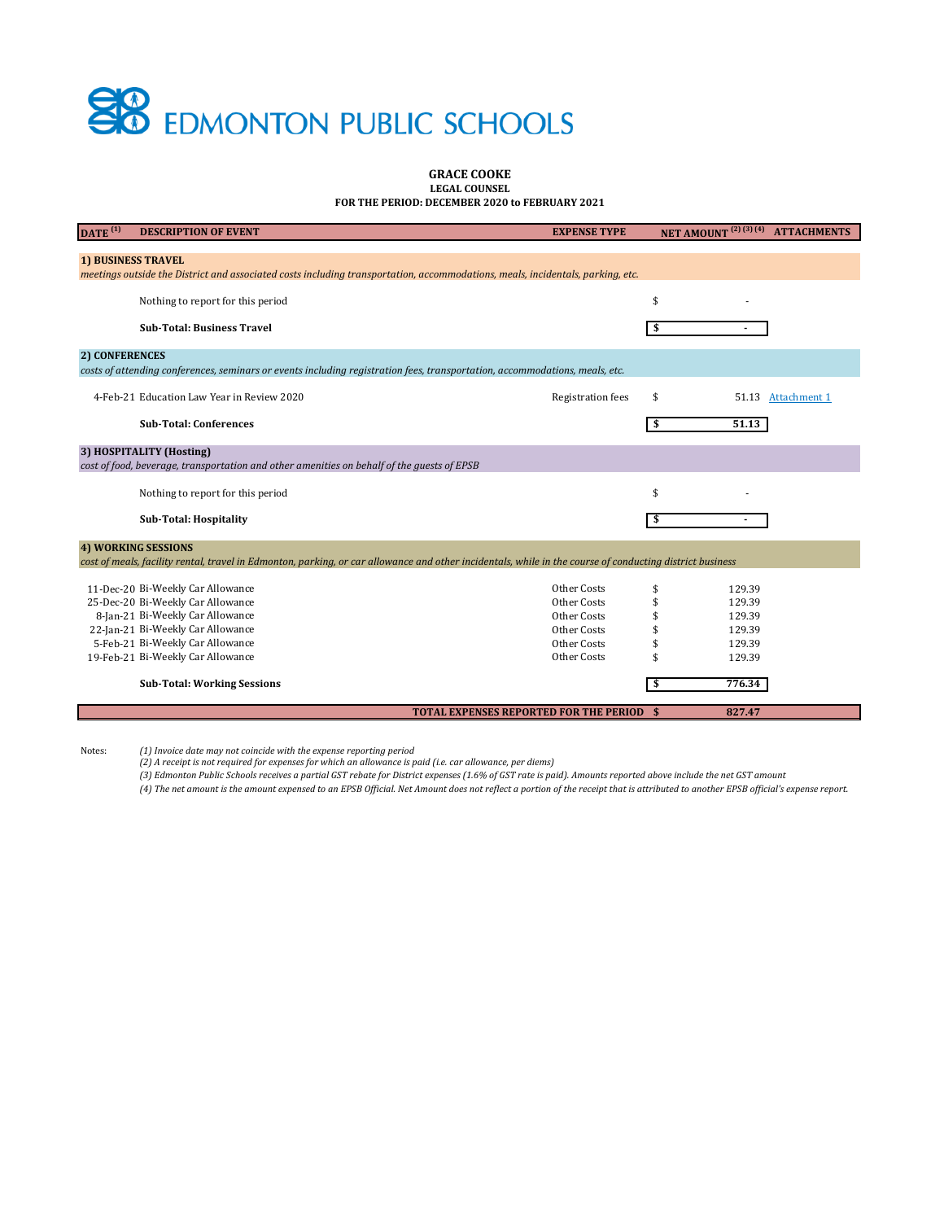## **SO** EDMONTON PUBLIC SCHOOLS

#### **GRACE COOKE LEGAL COUNSEL**

**FOR THE PERIOD: DECEMBER 2020 to FEBRUARY 2021**

| DATE $(1)$                                                                                                                     | <b>DESCRIPTION OF EVENT</b>                                                                                                                              | <b>EXPENSE TYPE</b>      |    |        | NET AMOUNT <sup>(2)(3)(4)</sup> ATTACHMENTS |  |  |  |
|--------------------------------------------------------------------------------------------------------------------------------|----------------------------------------------------------------------------------------------------------------------------------------------------------|--------------------------|----|--------|---------------------------------------------|--|--|--|
|                                                                                                                                |                                                                                                                                                          |                          |    |        |                                             |  |  |  |
| <b>1) BUSINESS TRAVEL</b>                                                                                                      |                                                                                                                                                          |                          |    |        |                                             |  |  |  |
| meetings outside the District and associated costs including transportation, accommodations, meals, incidentals, parking, etc. |                                                                                                                                                          |                          |    |        |                                             |  |  |  |
|                                                                                                                                | Nothing to report for this period                                                                                                                        |                          | \$ |        |                                             |  |  |  |
|                                                                                                                                |                                                                                                                                                          |                          |    |        |                                             |  |  |  |
|                                                                                                                                | <b>Sub-Total: Business Travel</b>                                                                                                                        |                          | \$ |        |                                             |  |  |  |
| <b>2) CONFERENCES</b>                                                                                                          |                                                                                                                                                          |                          |    |        |                                             |  |  |  |
|                                                                                                                                | costs of attending conferences, seminars or events including registration fees, transportation, accommodations, meals, etc.                              |                          |    |        |                                             |  |  |  |
|                                                                                                                                |                                                                                                                                                          |                          |    |        |                                             |  |  |  |
|                                                                                                                                | 4-Feb-21 Education Law Year in Review 2020                                                                                                               | <b>Registration fees</b> | \$ |        | 51.13 Attachment 1                          |  |  |  |
|                                                                                                                                |                                                                                                                                                          |                          |    |        |                                             |  |  |  |
|                                                                                                                                | <b>Sub-Total: Conferences</b>                                                                                                                            |                          | \$ | 51.13  |                                             |  |  |  |
|                                                                                                                                | 3) HOSPITALITY (Hosting)                                                                                                                                 |                          |    |        |                                             |  |  |  |
|                                                                                                                                | cost of food, beverage, transportation and other amenities on behalf of the guests of EPSB                                                               |                          |    |        |                                             |  |  |  |
|                                                                                                                                |                                                                                                                                                          |                          |    |        |                                             |  |  |  |
|                                                                                                                                | Nothing to report for this period                                                                                                                        |                          | \$ |        |                                             |  |  |  |
|                                                                                                                                | <b>Sub-Total: Hospitality</b>                                                                                                                            |                          | \$ |        |                                             |  |  |  |
|                                                                                                                                |                                                                                                                                                          |                          |    |        |                                             |  |  |  |
| <b>4) WORKING SESSIONS</b>                                                                                                     |                                                                                                                                                          |                          |    |        |                                             |  |  |  |
|                                                                                                                                | cost of meals, facility rental, travel in Edmonton, parking, or car allowance and other incidentals, while in the course of conducting district business |                          |    |        |                                             |  |  |  |
|                                                                                                                                | 11-Dec-20 Bi-Weekly Car Allowance                                                                                                                        | Other Costs              | \$ | 129.39 |                                             |  |  |  |
|                                                                                                                                | 25-Dec-20 Bi-Weekly Car Allowance                                                                                                                        | Other Costs              |    | 129.39 |                                             |  |  |  |
|                                                                                                                                | 8-Jan-21 Bi-Weekly Car Allowance                                                                                                                         | Other Costs              |    | 129.39 |                                             |  |  |  |
|                                                                                                                                | 22-Jan-21 Bi-Weekly Car Allowance                                                                                                                        | Other Costs              |    | 129.39 |                                             |  |  |  |
|                                                                                                                                | 5-Feb-21 Bi-Weekly Car Allowance                                                                                                                         | Other Costs              |    | 129.39 |                                             |  |  |  |
|                                                                                                                                | 19-Feb-21 Bi-Weekly Car Allowance                                                                                                                        | Other Costs              |    | 129.39 |                                             |  |  |  |
|                                                                                                                                | <b>Sub-Total: Working Sessions</b>                                                                                                                       |                          |    | 776.34 |                                             |  |  |  |
|                                                                                                                                |                                                                                                                                                          |                          |    |        |                                             |  |  |  |
|                                                                                                                                | <b>TOTAL EXPENSES REPORTED FOR THE PERIOD \$</b>                                                                                                         |                          |    | 827.47 |                                             |  |  |  |

Notes:

*(1) Invoice date may not coincide with the expense reporting period (2) A receipt is not required for expenses for which an allowance is paid (i.e. car allowance, per diems)*

*(3) Edmonton Public Schools receives a partial GST rebate for District expenses (1.6% of GST rate is paid). Amounts reported above include the net GST amount*

*(4) The net amount is the amount expensed to an EPSB Official. Net Amount does not reflect a portion of the receipt that is attributed to another EPSB official's expense report.*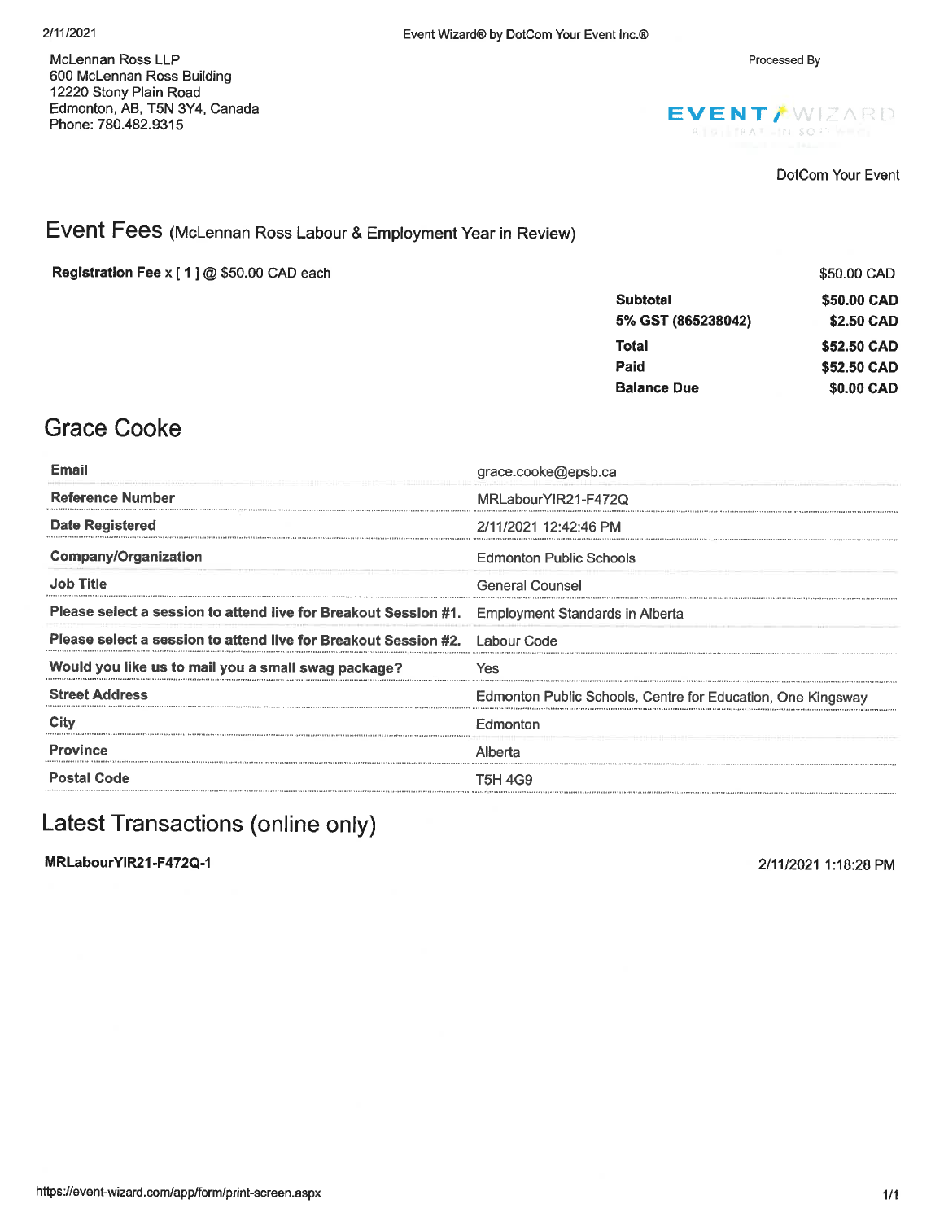Processed By

McLennan Ross LLP 600 McLennan Ross Building 12220 Stony Plain Road Edmonton, AB, T5N 3Y4, Canada Phone: 780.482.9315



DotCom Your Event

#### Event Fees (McLennan Ross Labour & Employment Year in Review)

Registration Fee x [1] @ \$50.00 CAD each

|                    | \$50.00 CAD |
|--------------------|-------------|
| <b>Subtotal</b>    | \$50.00 CAD |
| 5% GST (865238042) | \$2.50 CAD  |
| Total              | \$52,50 CAD |
| Paid               | \$52.50 CAD |
| <b>Balance Due</b> | \$0.00 CAD  |

### **Grace Cooke**

| Email                                                                       | grace.cooke@epsb.ca                                         |  |  |  |
|-----------------------------------------------------------------------------|-------------------------------------------------------------|--|--|--|
| <b>Reference Number</b>                                                     | MRLabourYIR21-F472Q                                         |  |  |  |
| Date Registered                                                             | 2/11/2021 12:42:46 PM                                       |  |  |  |
| <b>Company/Organization</b>                                                 | <b>Edmonton Public Schools</b>                              |  |  |  |
| <b>Job Title</b>                                                            | <b>General Counsel</b>                                      |  |  |  |
| Please select a session to attend live for Breakout Session #1.             | <b>Employment Standards in Alberta</b>                      |  |  |  |
| Please select a session to attend live for Breakout Session #2. Labour Code |                                                             |  |  |  |
| Would you like us to mail you a small swag package?                         | Yes                                                         |  |  |  |
| <b>Street Address</b>                                                       | Edmonton Public Schools, Centre for Education, One Kingsway |  |  |  |
| City                                                                        | Edmonton                                                    |  |  |  |
| <b>Province</b>                                                             | Alberta                                                     |  |  |  |
| <b>Postal Code</b>                                                          | T5H 4G9                                                     |  |  |  |
|                                                                             |                                                             |  |  |  |

#### Latest Transactions (online only)

MRLabourYIR21-F472Q-1

2/11/2021 1:18:28 PM